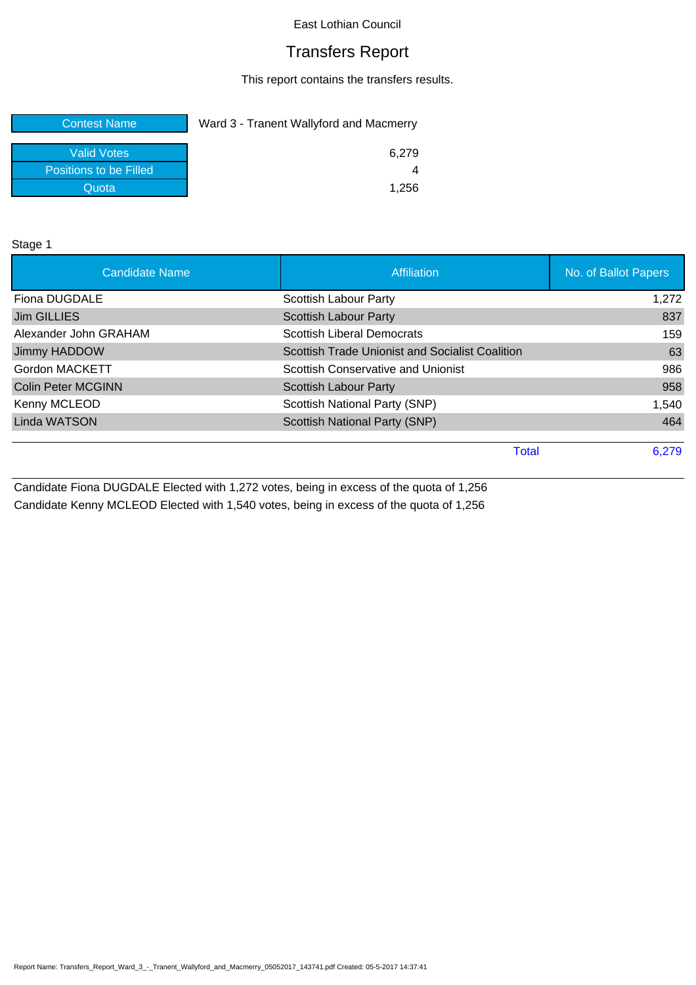# Transfers Report

This report contains the transfers results.

| <b>Contest Name</b>    | Ward 3 - Tranent Wallyford and Macmerry |  |  |
|------------------------|-----------------------------------------|--|--|
| <b>Valid Votes</b>     | 6.279                                   |  |  |
| Positions to be Filled |                                         |  |  |
| Quota                  | 1.256                                   |  |  |

Stage 1

| <b>Candidate Name</b>     | Affiliation                                     | No. of Ballot Papers |
|---------------------------|-------------------------------------------------|----------------------|
| Fiona DUGDALE             | Scottish Labour Party                           | 1,272                |
| <b>Jim GILLIES</b>        | <b>Scottish Labour Party</b>                    | 837                  |
| Alexander John GRAHAM     | <b>Scottish Liberal Democrats</b>               | 159                  |
| Jimmy HADDOW              | Scottish Trade Unionist and Socialist Coalition | 63                   |
| Gordon MACKETT            | Scottish Conservative and Unionist              | 986                  |
| <b>Colin Peter MCGINN</b> | <b>Scottish Labour Party</b>                    | 958                  |
| Kenny MCLEOD              | Scottish National Party (SNP)                   | 1,540                |
| Linda WATSON              | Scottish National Party (SNP)                   | 464                  |
|                           | <b>Total</b>                                    | 6,279                |

Candidate Fiona DUGDALE Elected with 1,272 votes, being in excess of the quota of 1,256 Candidate Kenny MCLEOD Elected with 1,540 votes, being in excess of the quota of 1,256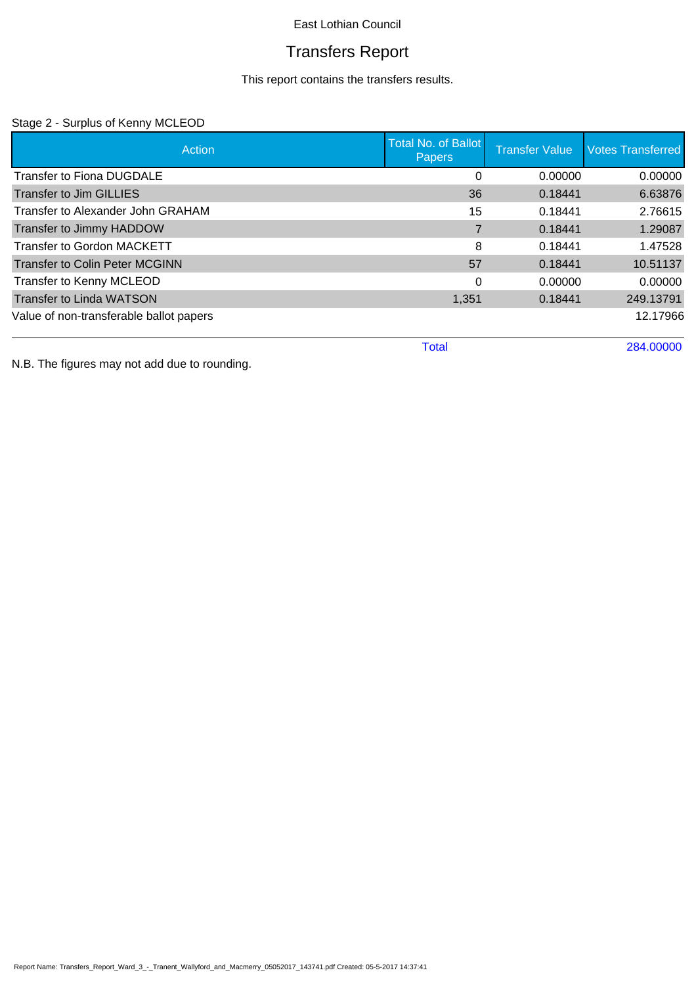# Transfers Report

This report contains the transfers results.

### Stage 2 - Surplus of Kenny MCLEOD

| Action                                  | <b>Total No. of Ballot</b><br><b>Papers</b> | <b>Transfer Value</b> | <b>Votes Transferred</b> |
|-----------------------------------------|---------------------------------------------|-----------------------|--------------------------|
| <b>Transfer to Fiona DUGDALE</b>        | 0                                           | 0.00000               | 0.00000                  |
| <b>Transfer to Jim GILLIES</b>          | 36                                          | 0.18441               | 6.63876                  |
| Transfer to Alexander John GRAHAM       | 15                                          | 0.18441               | 2.76615                  |
| Transfer to Jimmy HADDOW                |                                             | 0.18441               | 1.29087                  |
| <b>Transfer to Gordon MACKETT</b>       | 8                                           | 0.18441               | 1.47528                  |
| <b>Transfer to Colin Peter MCGINN</b>   | 57                                          | 0.18441               | 10.51137                 |
| Transfer to Kenny MCLEOD                | 0                                           | 0.00000               | 0.00000                  |
| <b>Transfer to Linda WATSON</b>         | 1,351                                       | 0.18441               | 249.13791                |
| Value of non-transferable ballot papers |                                             |                       | 12.17966                 |
|                                         | <b>Total</b>                                |                       | 284.00000                |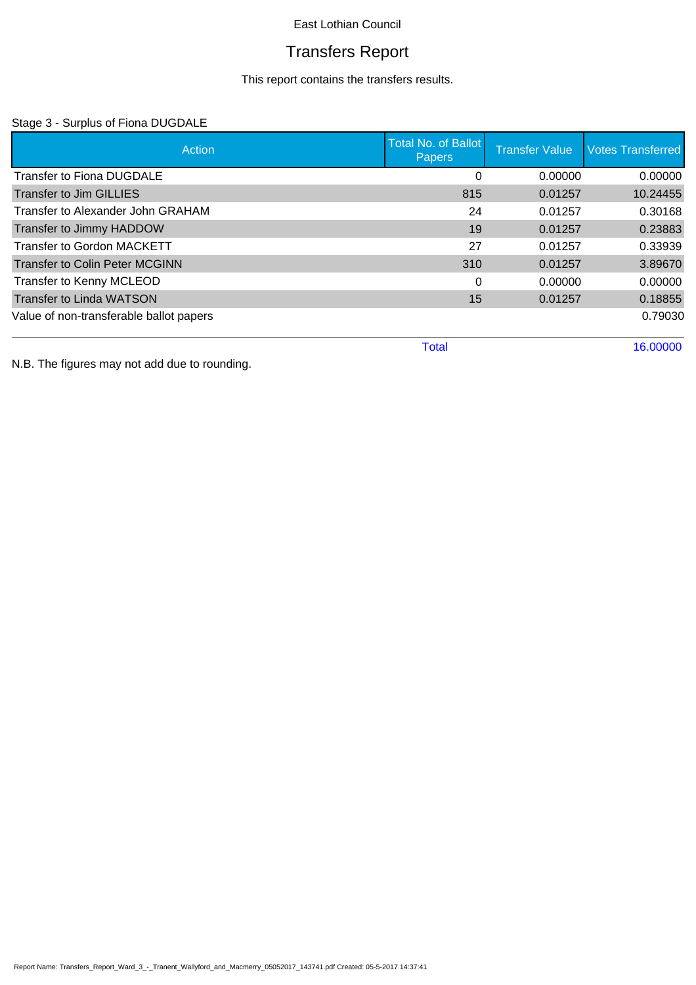# Transfers Report

This report contains the transfers results.

### Stage 3 - Surplus of Fiona DUGDALE

| Action                                  | <b>Total No. of Ballot</b><br><b>Papers</b> | <b>Transfer Value</b> | <b>Votes Transferred</b> |
|-----------------------------------------|---------------------------------------------|-----------------------|--------------------------|
| <b>Transfer to Fiona DUGDALE</b>        | 0                                           | 0.00000               | 0.00000                  |
| <b>Transfer to Jim GILLIES</b>          | 815                                         | 0.01257               | 10.24455                 |
| Transfer to Alexander John GRAHAM       | 24                                          | 0.01257               | 0.30168                  |
| Transfer to Jimmy HADDOW                | 19                                          | 0.01257               | 0.23883                  |
| <b>Transfer to Gordon MACKETT</b>       | 27                                          | 0.01257               | 0.33939                  |
| <b>Transfer to Colin Peter MCGINN</b>   | 310                                         | 0.01257               | 3.89670                  |
| Transfer to Kenny MCLEOD                | 0                                           | 0.00000               | 0.00000                  |
| <b>Transfer to Linda WATSON</b>         | 15                                          | 0.01257               | 0.18855                  |
| Value of non-transferable ballot papers |                                             |                       | 0.79030                  |
|                                         | <b>Total</b>                                |                       | 16.00000                 |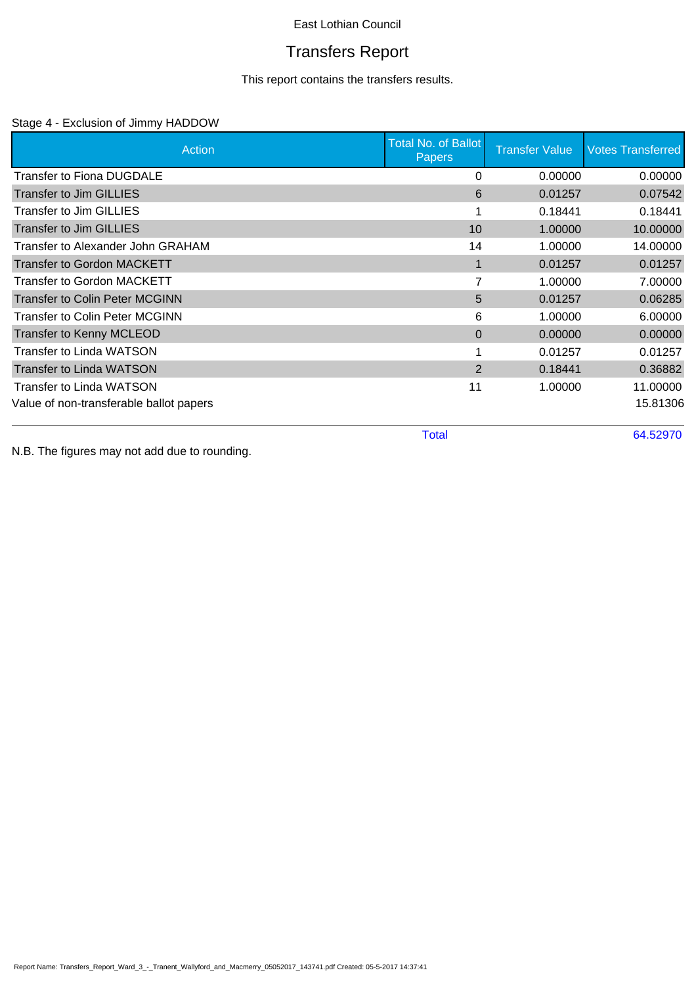# Transfers Report

This report contains the transfers results.

### Stage 4 - Exclusion of Jimmy HADDOW

| Action                                  | <b>Total No. of Ballot</b><br><b>Papers</b> | <b>Transfer Value</b> | <b>Votes Transferred</b> |
|-----------------------------------------|---------------------------------------------|-----------------------|--------------------------|
| <b>Transfer to Fiona DUGDALE</b>        | 0                                           | 0.00000               | 0.00000                  |
| <b>Transfer to Jim GILLIES</b>          | 6                                           | 0.01257               | 0.07542                  |
| Transfer to Jim GILLIES                 |                                             | 0.18441               | 0.18441                  |
| <b>Transfer to Jim GILLIES</b>          | 10                                          | 1.00000               | 10.00000                 |
| Transfer to Alexander John GRAHAM       | 14                                          | 1.00000               | 14.00000                 |
| <b>Transfer to Gordon MACKETT</b>       |                                             | 0.01257               | 0.01257                  |
| Transfer to Gordon MACKETT              | 7                                           | 1.00000               | 7.00000                  |
| <b>Transfer to Colin Peter MCGINN</b>   | 5                                           | 0.01257               | 0.06285                  |
| Transfer to Colin Peter MCGINN          | 6                                           | 1.00000               | 6.00000                  |
| <b>Transfer to Kenny MCLEOD</b>         | $\Omega$                                    | 0.00000               | 0.00000                  |
| Transfer to Linda WATSON                |                                             | 0.01257               | 0.01257                  |
| <b>Transfer to Linda WATSON</b>         | 2                                           | 0.18441               | 0.36882                  |
| <b>Transfer to Linda WATSON</b>         | 11                                          | 1.00000               | 11.00000                 |
| Value of non-transferable ballot papers |                                             |                       | 15.81306                 |

Total 64.52970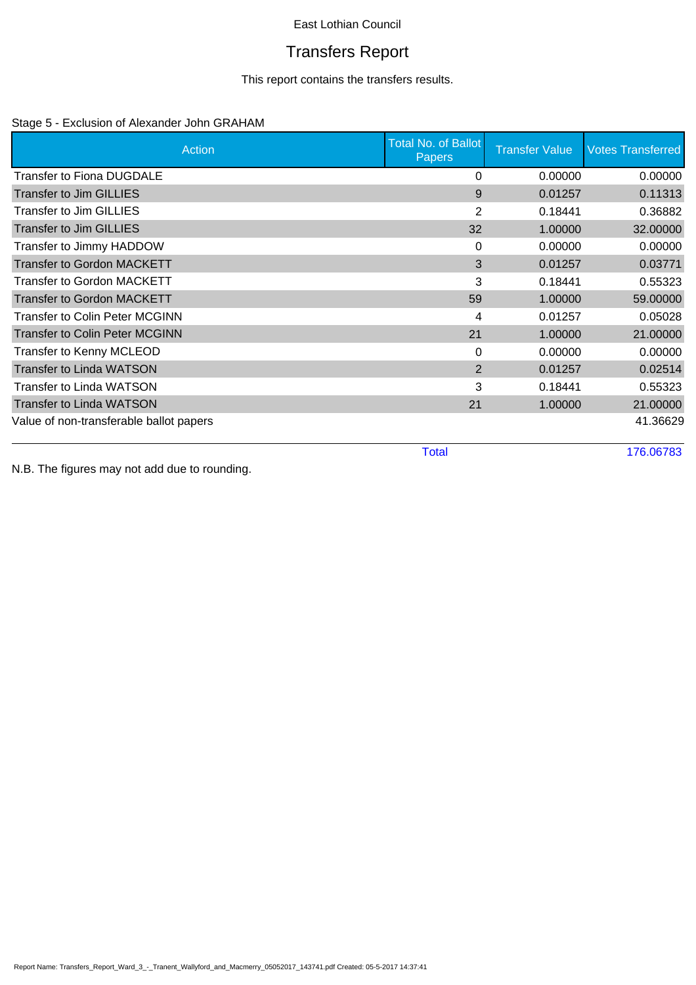# Transfers Report

This report contains the transfers results.

### Stage 5 - Exclusion of Alexander John GRAHAM

| Action                                  | Total No. of Ballot<br><b>Papers</b> | <b>Transfer Value</b> | <b>Votes Transferred</b> |
|-----------------------------------------|--------------------------------------|-----------------------|--------------------------|
| Transfer to Fiona DUGDALE               | 0                                    | 0.00000               | 0.00000                  |
| Transfer to Jim GILLIES                 | 9                                    | 0.01257               | 0.11313                  |
| Transfer to Jim GILLIES                 | 2                                    | 0.18441               | 0.36882                  |
| <b>Transfer to Jim GILLIES</b>          | 32                                   | 1.00000               | 32.00000                 |
| Transfer to Jimmy HADDOW                | $\Omega$                             | 0.00000               | 0.00000                  |
| <b>Transfer to Gordon MACKETT</b>       | 3                                    | 0.01257               | 0.03771                  |
| Transfer to Gordon MACKETT              | 3                                    | 0.18441               | 0.55323                  |
| <b>Transfer to Gordon MACKETT</b>       | 59                                   | 1.00000               | 59.00000                 |
| <b>Transfer to Colin Peter MCGINN</b>   | 4                                    | 0.01257               | 0.05028                  |
| <b>Transfer to Colin Peter MCGINN</b>   | 21                                   | 1.00000               | 21.00000                 |
| Transfer to Kenny MCLEOD                | 0                                    | 0.00000               | 0.00000                  |
| <b>Transfer to Linda WATSON</b>         | $\overline{2}$                       | 0.01257               | 0.02514                  |
| <b>Transfer to Linda WATSON</b>         | 3                                    | 0.18441               | 0.55323                  |
| <b>Transfer to Linda WATSON</b>         | 21                                   | 1.00000               | 21.00000                 |
| Value of non-transferable ballot papers |                                      |                       | 41.36629                 |
|                                         | <b>Total</b>                         |                       | 176.06783                |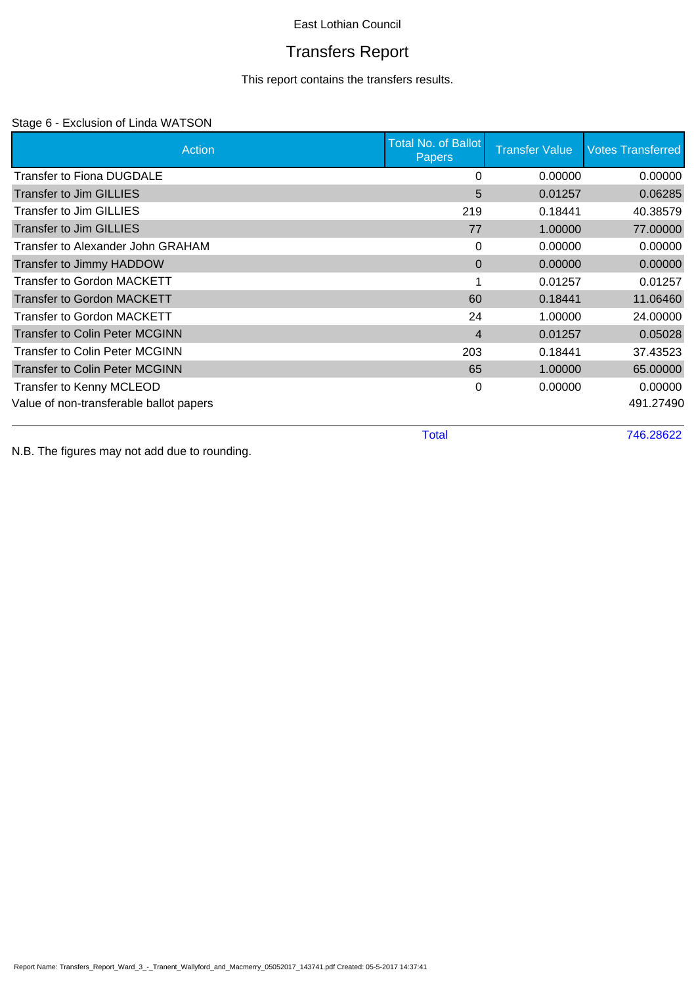# Transfers Report

This report contains the transfers results.

### Stage 6 - Exclusion of Linda WATSON

| Action                                  | <b>Total No. of Ballot</b><br><b>Papers</b> | <b>Transfer Value</b> | <b>Votes Transferred</b> |
|-----------------------------------------|---------------------------------------------|-----------------------|--------------------------|
| <b>Transfer to Fiona DUGDALE</b>        | 0                                           | 0.00000               | 0.00000                  |
| Transfer to Jim GILLIES                 | 5                                           | 0.01257               | 0.06285                  |
| <b>Transfer to Jim GILLIES</b>          | 219                                         | 0.18441               | 40.38579                 |
| <b>Transfer to Jim GILLIES</b>          | 77                                          | 1.00000               | 77.00000                 |
| Transfer to Alexander John GRAHAM       | 0                                           | 0.00000               | 0.00000                  |
| Transfer to Jimmy HADDOW                | $\Omega$                                    | 0.00000               | 0.00000                  |
| Transfer to Gordon MACKETT              |                                             | 0.01257               | 0.01257                  |
| <b>Transfer to Gordon MACKETT</b>       | 60                                          | 0.18441               | 11.06460                 |
| Transfer to Gordon MACKETT              | 24                                          | 1.00000               | 24.00000                 |
| <b>Transfer to Colin Peter MCGINN</b>   | $\overline{4}$                              | 0.01257               | 0.05028                  |
| Transfer to Colin Peter MCGINN          | 203                                         | 0.18441               | 37.43523                 |
| <b>Transfer to Colin Peter MCGINN</b>   | 65                                          | 1.00000               | 65.00000                 |
| Transfer to Kenny MCLEOD                | 0                                           | 0.00000               | 0.00000                  |
| Value of non-transferable ballot papers |                                             |                       | 491.27490                |

Total 746.28622